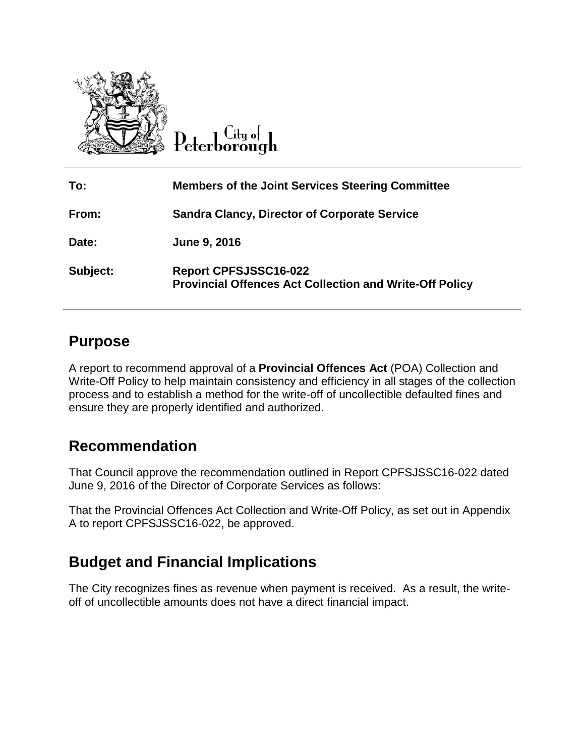

City o∤⊹ Peterborough

| To:      | <b>Members of the Joint Services Steering Committee</b>                                        |
|----------|------------------------------------------------------------------------------------------------|
| From:    | <b>Sandra Clancy, Director of Corporate Service</b>                                            |
| Date:    | June 9, 2016                                                                                   |
| Subject: | <b>Report CPFSJSSC16-022</b><br><b>Provincial Offences Act Collection and Write-Off Policy</b> |

## **Purpose**

A report to recommend approval of a **Provincial Offences Act** (POA) Collection and Write-Off Policy to help maintain consistency and efficiency in all stages of the collection process and to establish a method for the write-off of uncollectible defaulted fines and ensure they are properly identified and authorized.

## **Recommendation**

That Council approve the recommendation outlined in Report CPFSJSSC16-022 dated June 9, 2016 of the Director of Corporate Services as follows:

That the Provincial Offences Act Collection and Write-Off Policy, as set out in Appendix A to report CPFSJSSC16-022, be approved.

# **Budget and Financial Implications**

The City recognizes fines as revenue when payment is received. As a result, the writeoff of uncollectible amounts does not have a direct financial impact.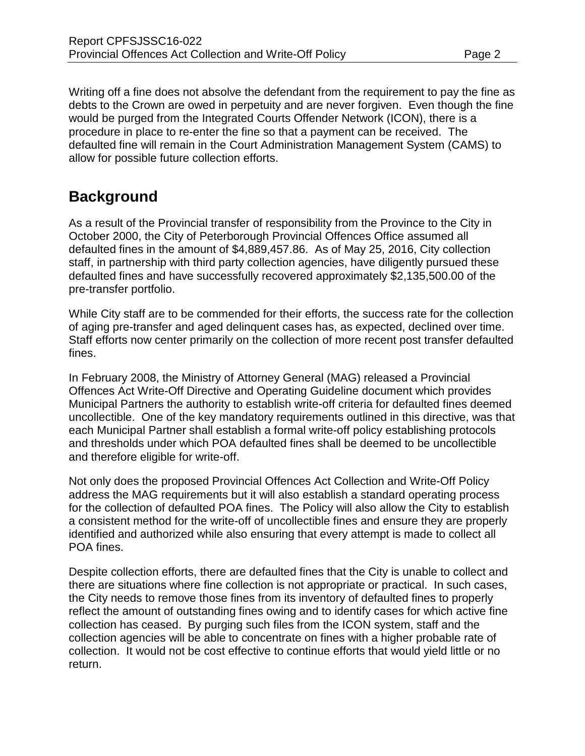Writing off a fine does not absolve the defendant from the requirement to pay the fine as debts to the Crown are owed in perpetuity and are never forgiven. Even though the fine would be purged from the Integrated Courts Offender Network (ICON), there is a procedure in place to re-enter the fine so that a payment can be received. The defaulted fine will remain in the Court Administration Management System (CAMS) to allow for possible future collection efforts.

## **Background**

As a result of the Provincial transfer of responsibility from the Province to the City in October 2000, the City of Peterborough Provincial Offences Office assumed all defaulted fines in the amount of \$4,889,457.86. As of May 25, 2016, City collection staff, in partnership with third party collection agencies, have diligently pursued these defaulted fines and have successfully recovered approximately \$2,135,500.00 of the pre-transfer portfolio.

While City staff are to be commended for their efforts, the success rate for the collection of aging pre-transfer and aged delinquent cases has, as expected, declined over time. Staff efforts now center primarily on the collection of more recent post transfer defaulted fines.

In February 2008, the Ministry of Attorney General (MAG) released a Provincial Offences Act Write-Off Directive and Operating Guideline document which provides Municipal Partners the authority to establish write-off criteria for defaulted fines deemed uncollectible. One of the key mandatory requirements outlined in this directive, was that each Municipal Partner shall establish a formal write-off policy establishing protocols and thresholds under which POA defaulted fines shall be deemed to be uncollectible and therefore eligible for write-off.

Not only does the proposed Provincial Offences Act Collection and Write-Off Policy address the MAG requirements but it will also establish a standard operating process for the collection of defaulted POA fines. The Policy will also allow the City to establish a consistent method for the write-off of uncollectible fines and ensure they are properly identified and authorized while also ensuring that every attempt is made to collect all POA fines.

Despite collection efforts, there are defaulted fines that the City is unable to collect and there are situations where fine collection is not appropriate or practical. In such cases, the City needs to remove those fines from its inventory of defaulted fines to properly reflect the amount of outstanding fines owing and to identify cases for which active fine collection has ceased. By purging such files from the ICON system, staff and the collection agencies will be able to concentrate on fines with a higher probable rate of collection. It would not be cost effective to continue efforts that would yield little or no return.